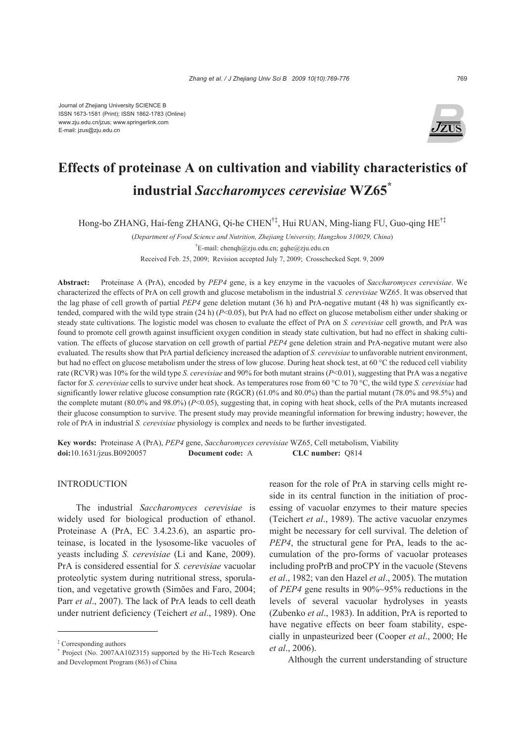

# **Effects of proteinase A on cultivation and viability characteristics of industrial** *Saccharomyces cerevisiae* **WZ65\***

Hong-bo ZHANG, Hai-feng ZHANG, Qi-he CHEN†‡, Hui RUAN, Ming-liang FU, Guo-qing HE†‡

(*Department of Food Science and Nutrition, Zhejiang University, Hangzhou 310029, China*) <sup>†</sup>E-mail: chenqh@zju.edu.cn; gqhe@zju.edu.cn Received Feb. 25, 2009; Revision accepted July 7, 2009; Crosschecked Sept. 9, 2009

**Abstract:** Proteinase A (PrA), encoded by *PEP4* gene, is a key enzyme in the vacuoles of *Saccharomyces cerevisiae*. We characterized the effects of PrA on cell growth and glucose metabolism in the industrial *S. cerevisiae* WZ65. It was observed that the lag phase of cell growth of partial *PEP4* gene deletion mutant (36 h) and PrA-negative mutant (48 h) was significantly extended, compared with the wild type strain (24 h) (*P*<0.05), but PrA had no effect on glucose metabolism either under shaking or steady state cultivations. The logistic model was chosen to evaluate the effect of PrA on *S. cerevisiae* cell growth, and PrA was found to promote cell growth against insufficient oxygen condition in steady state cultivation, but had no effect in shaking cultivation. The effects of glucose starvation on cell growth of partial *PEP4* gene deletion strain and PrA-negative mutant were also evaluated. The results show that PrA partial deficiency increased the adaption of *S. cerevisiae* to unfavorable nutrient environment, but had no effect on glucose metabolism under the stress of low glucose. During heat shock test, at 60 °C the reduced cell viability rate (RCVR) was 10% for the wild type *S. cerevisiae* and 90% for both mutant strains (*P*<0.01), suggesting that PrA was a negative factor for *S. cerevisiae* cells to survive under heat shock. As temperatures rose from 60 °C to 70 °C, the wild type *S. cerevisiae* had significantly lower relative glucose consumption rate (RGCR) (61.0% and 80.0%) than the partial mutant (78.0% and 98.5%) and the complete mutant (80.0% and 98.0%) (*P*<0.05), suggesting that, in coping with heat shock, cells of the PrA mutants increased their glucose consumption to survive. The present study may provide meaningful information for brewing industry; however, the role of PrA in industrial *S. cerevisiae* physiology is complex and needs to be further investigated.

**Key words:** Proteinase A (PrA), *PEP4* gene, *Saccharomyces cerevisiae* WZ65, Cell metabolism, Viability **doi:**10.1631/jzus.B0920057 **Document code:** A **CLC number:** Q814

## **INTRODUCTION**

The industrial *Saccharomyces cerevisiae* is widely used for biological production of ethanol. Proteinase A (PrA, EC 3.4.23.6), an aspartic proteinase, is located in the lysosome-like vacuoles of yeasts including *S. cerevisiae* (Li and Kane, 2009). PrA is considered essential for *S. cerevisiae* vacuolar proteolytic system during nutritional stress, sporulation, and vegetative growth (Simões and Faro, 2004; Parr *et al*., 2007). The lack of PrA leads to cell death under nutrient deficiency (Teichert *et al*., 1989). One

reason for the role of PrA in starving cells might reside in its central function in the initiation of processing of vacuolar enzymes to their mature species (Teichert *et al*., 1989). The active vacuolar enzymes might be necessary for cell survival. The deletion of *PEP4*, the structural gene for PrA, leads to the accumulation of the pro-forms of vacuolar proteases including proPrB and proCPY in the vacuole (Stevens *et al*., 1982; van den Hazel *et al*., 2005). The mutation of *PEP4* gene results in 90%~95% reductions in the levels of several vacuolar hydrolyses in yeasts (Zubenko *et al*., 1983). In addition, PrA is reported to have negative effects on beer foam stability, especially in unpasteurized beer (Cooper *et al*., 2000; He *et al*., 2006).

Although the current understanding of structure

<sup>‡</sup> Corresponding authors

<sup>\*</sup> Project (No. 2007AA10Z315) supported by the Hi-Tech Research and Development Program (863) of China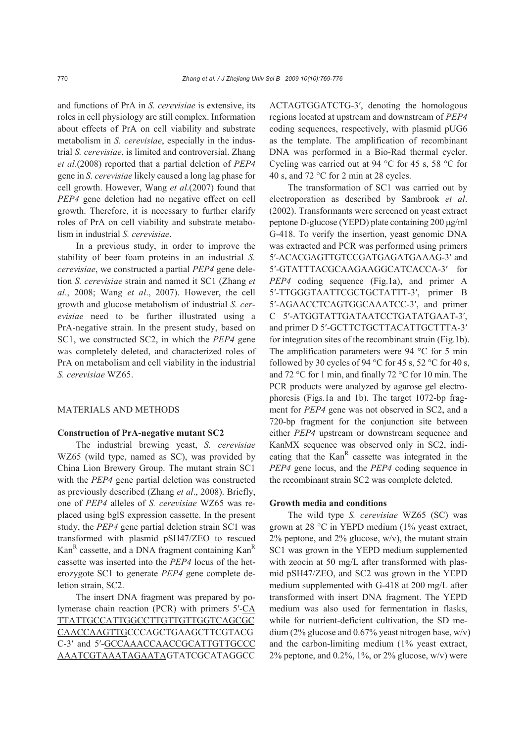and functions of PrA in *S. cerevisiae* is extensive, its roles in cell physiology are still complex. Information about effects of PrA on cell viability and substrate metabolism in *S. cerevisiae*, especially in the industrial *S. cerevisiae*, is limited and controversial. Zhang *et al*.(2008) reported that a partial deletion of *PEP4*  gene in *S. cerevisiae* likely caused a long lag phase for cell growth. However, Wang *et al*.(2007) found that *PEP4* gene deletion had no negative effect on cell growth. Therefore, it is necessary to further clarify roles of PrA on cell viability and substrate metabolism in industrial *S. cerevisiae*.

In a previous study, in order to improve the stability of beer foam proteins in an industrial *S. cerevisiae*, we constructed a partial *PEP4* gene deletion *S. cerevisiae* strain and named it SC1 (Zhang *et al*., 2008; Wang *et al*., 2007). However, the cell growth and glucose metabolism of industrial *S. cerevisiae* need to be further illustrated using a PrA-negative strain. In the present study, based on SC1, we constructed SC2, in which the *PEP4* gene was completely deleted, and characterized roles of PrA on metabolism and cell viability in the industrial *S. cerevisiae* WZ65.

## MATERIALS AND METHODS

#### **Construction of PrA-negative mutant SC2**

The industrial brewing yeast, *S. cerevisiae*  WZ65 (wild type, named as SC), was provided by China Lion Brewery Group. The mutant strain SC1 with the *PEP4* gene partial deletion was constructed as previously described (Zhang *et al*., 2008). Briefly, one of *PEP4* alleles of *S. cerevisiae* WZ65 was replaced using bglS expression cassette. In the present study, the *PEP4* gene partial deletion strain SC1 was transformed with plasmid pSH47/ZEO to rescued  $Kan<sup>R</sup>$  cassette, and a DNA fragment containing  $Kan<sup>R</sup>$ cassette was inserted into the *PEP4* locus of the heterozygote SC1 to generate *PEP4* gene complete deletion strain, SC2.

The insert DNA fragment was prepared by polymerase chain reaction (PCR) with primers 5′-CA TTATTGCCATTGGCCTTGTTGTTGGTCAGCGC CAACCAAGTTGCCCAGCTGAAGCTTCGTACG C-3′ and 5′-GCCAAACCAACCGCATTGTTGCCC AAATCGTAAATAGAATAGTATCGCATAGGCC ACTAGTGGATCTG-3′, denoting the homologous regions located at upstream and downstream of *PEP4*  coding sequences, respectively, with plasmid pUG6 as the template. The amplification of recombinant DNA was performed in a Bio-Rad thermal cycler. Cycling was carried out at 94 °C for 45 s, 58 °C for 40 s, and 72 °C for 2 min at 28 cycles.

The transformation of SC1 was carried out by electroporation as described by Sambrook *et al*. (2002). Transformants were screened on yeast extract peptone D-glucose (YEPD) plate containing 200 μg/ml G-418. To verify the insertion, yeast genomic DNA was extracted and PCR was performed using primers 5′-ACACGAGTTGTCCGATGAGATGAAAG-3′ and 5′-GTATTTACGCAAGAAGGCATCACCA-3′ for *PEP4* coding sequence (Fig.1a), and primer A 5′-TTGGGTAATTCGCTGCTATTT-3′, primer B 5′-AGAACCTCAGTGGCAAATCC-3′, and primer C 5′-ATGGTATTGATAATCCTGATATGAAT-3′, and primer D 5′-GCTTCTGCTTACATTGCTTTA-3′ for integration sites of the recombinant strain (Fig.1b). The amplification parameters were 94 °C for 5 min followed by 30 cycles of 94  $\degree$ C for 45 s, 52  $\degree$ C for 40 s, and 72 °C for 1 min, and finally 72 °C for 10 min. The PCR products were analyzed by agarose gel electrophoresis (Figs.1a and 1b). The target 1072-bp fragment for *PEP4* gene was not observed in SC2, and a 720-bp fragment for the conjunction site between either *PEP4* upstream or downstream sequence and KanMX sequence was observed only in SC2, indicating that the  $Kan^R$  cassette was integrated in the *PEP4* gene locus, and the *PEP4* coding sequence in the recombinant strain SC2 was complete deleted.

#### **Growth media and conditions**

The wild type *S. cerevisiae* WZ65 (SC) was grown at 28 °C in YEPD medium (1% yeast extract,  $2\%$  peptone, and  $2\%$  glucose, w/v), the mutant strain SC1 was grown in the YEPD medium supplemented with zeocin at 50 mg/L after transformed with plasmid pSH47/ZEO, and SC2 was grown in the YEPD medium supplemented with G-418 at 200 mg/L after transformed with insert DNA fragment. The YEPD medium was also used for fermentation in flasks, while for nutrient-deficient cultivation, the SD medium (2% glucose and 0.67% yeast nitrogen base,  $w/v$ ) and the carbon-limiting medium (1% yeast extract,  $2\%$  peptone, and 0.2%, 1%, or 2% glucose, w/v) were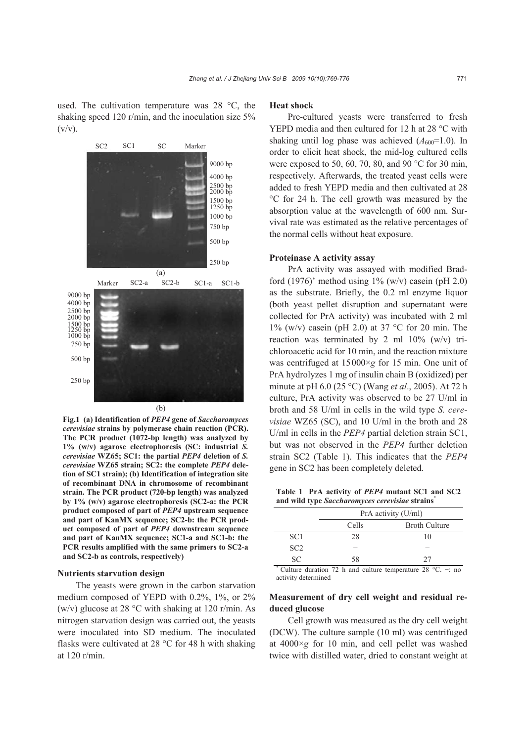used. The cultivation temperature was 28 °C, the shaking speed 120 r/min, and the inoculation size 5%  $(v/v)$ .



**Fig.1 (a) Identification of** *PEP4* **gene of** *Saccharomyces cerevisiae* **strains by polymerase chain reaction (PCR). The PCR product (1072-bp length) was analyzed by 1% (w/v) agarose electrophoresis (SC: industrial** *S. cerevisiae* **WZ65; SC1: the partial** *PEP4* **deletion of** *S. cerevisiae* **WZ65 strain; SC2: the complete** *PEP4* **deletion of SC1 strain); (b) Identification of integration site of recombinant DNA in chromosome of recombinant strain. The PCR product (720-bp length) was analyzed by 1% (w/v) agarose electrophoresis (SC2-a: the PCR product composed of part of** *PEP4* **upstream sequence and part of KanMX sequence; SC2-b: the PCR product composed of part of** *PEP4* **downstream sequence and part of KanMX sequence; SC1-a and SC1-b: the PCR results amplified with the same primers to SC2-a and SC2-b as controls, respectively)**

#### **Nutrients starvation design**

The yeasts were grown in the carbon starvation medium composed of YEPD with 0.2%, 1%, or 2% (w/v) glucose at 28 °C with shaking at 120 r/min. As nitrogen starvation design was carried out, the yeasts were inoculated into SD medium. The inoculated flasks were cultivated at 28 °C for 48 h with shaking at 120 r/min.

#### **Heat shock**

Pre-cultured yeasts were transferred to fresh YEPD media and then cultured for 12 h at 28 °C with shaking until log phase was achieved  $(A_{600}=1.0)$ . In order to elicit heat shock, the mid-log cultured cells were exposed to 50, 60, 70, 80, and 90 °C for 30 min, respectively. Afterwards, the treated yeast cells were added to fresh YEPD media and then cultivated at 28 °C for 24 h. The cell growth was measured by the absorption value at the wavelength of 600 nm. Survival rate was estimated as the relative percentages of the normal cells without heat exposure.

## **Proteinase A activity assay**

PrA activity was assayed with modified Bradford (1976)' method using  $1\%$  (w/v) casein (pH 2.0) as the substrate. Briefly, the 0.2 ml enzyme liquor (both yeast pellet disruption and supernatant were collected for PrA activity) was incubated with 2 ml  $1\%$  (w/v) casein (pH 2.0) at 37 °C for 20 min. The reaction was terminated by 2 ml  $10\%$  (w/v) trichloroacetic acid for 10 min, and the reaction mixture was centrifuged at 15000×*g* for 15 min. One unit of PrA hydrolyzes 1 mg of insulin chain B (oxidized) per minute at pH 6.0 (25 °C) (Wang *et al*., 2005). At 72 h culture, PrA activity was observed to be 27 U/ml in broth and 58 U/ml in cells in the wild type *S. cerevisiae* WZ65 (SC), and 10 U/ml in the broth and 28 U/ml in cells in the *PEP4* partial deletion strain SC1, but was not observed in the *PEP4* further deletion strain SC2 (Table 1). This indicates that the *PEP4* gene in SC2 has been completely deleted.

**Table 1 PrA activity of** *PEP4* **mutant SC1 and SC2 and wild type** *Saccharomyces cerevisiae* **strains\***

|                 | PrA activity (U/ml) |                                                               |  |  |
|-----------------|---------------------|---------------------------------------------------------------|--|--|
|                 | Cells               | <b>Broth Culture</b>                                          |  |  |
| SC <sub>1</sub> | 28                  | 10                                                            |  |  |
| SC <sub>2</sub> |                     |                                                               |  |  |
| SC.             | 58                  | 27                                                            |  |  |
| $\ast$          |                     | Culture duration 72 h and culture temperature 28 °C. $\pm$ no |  |  |

activity determined

# **Measurement of dry cell weight and residual reduced glucose**

Cell growth was measured as the dry cell weight (DCW). The culture sample (10 ml) was centrifuged at 4000×*g* for 10 min, and cell pellet was washed twice with distilled water, dried to constant weight at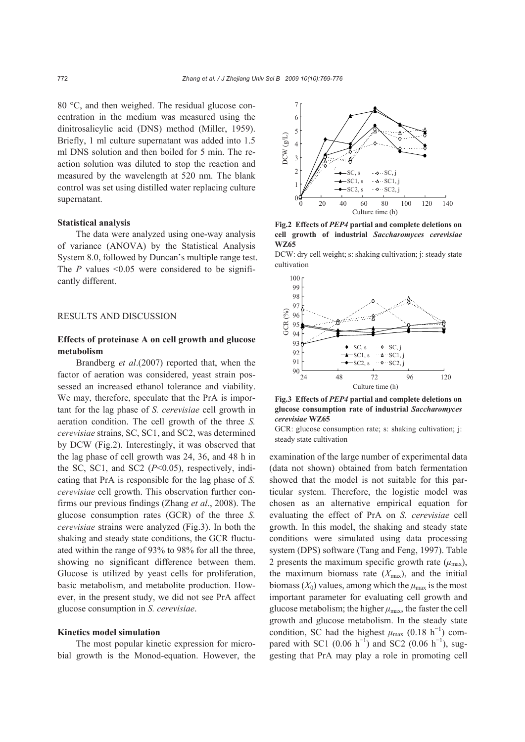80 °C, and then weighed. The residual glucose concentration in the medium was measured using the dinitrosalicylic acid (DNS) method (Miller, 1959). Briefly, 1 ml culture supernatant was added into 1.5 ml DNS solution and then boiled for 5 min. The reaction solution was diluted to stop the reaction and measured by the wavelength at 520 nm. The blank control was set using distilled water replacing culture supernatant.

#### **Statistical analysis**

The data were analyzed using one-way analysis of variance (ANOVA) by the Statistical Analysis System 8.0, followed by Duncan's multiple range test. The  $P$  values  $\leq 0.05$  were considered to be significantly different.

## RESULTS AND DISCUSSION

# **Effects of proteinase A on cell growth and glucose metabolism**

Brandberg *et al*.(2007) reported that, when the factor of aeration was considered, yeast strain possessed an increased ethanol tolerance and viability. We may, therefore, speculate that the PrA is important for the lag phase of *S. cerevisiae* cell growth in aeration condition. The cell growth of the three *S. cerevisiae* strains, SC, SC1, and SC2, was determined by DCW (Fig.2). Interestingly, it was observed that the lag phase of cell growth was 24, 36, and 48 h in the SC, SC1, and SC2 (*P*<0.05), respectively, indicating that PrA is responsible for the lag phase of *S. cerevisiae* cell growth. This observation further confirms our previous findings (Zhang *et al*., 2008). The glucose consumption rates (GCR) of the three *S. cerevisiae* strains were analyzed (Fig.3). In both the shaking and steady state conditions, the GCR fluctuated within the range of 93% to 98% for all the three, showing no significant difference between them. Glucose is utilized by yeast cells for proliferation, basic metabolism, and metabolite production. However, in the present study, we did not see PrA affect glucose consumption in *S. cerevisiae*.

## **Kinetics model simulation**

The most popular kinetic expression for microbial growth is the Monod-equation. However, the



**Fig.2 Effects of** *PEP4* **partial and complete deletions on cell growth of industrial** *Saccharomyces cerevisiae*  **WZ65** 

DCW: dry cell weight; s: shaking cultivation; j: steady state cultivation



**Fig.3 Effects of** *PEP4* **partial and complete deletions on glucose consumption rate of industrial** *Saccharomyces cerevisiae* **WZ65** 

GCR: glucose consumption rate; s: shaking cultivation; j: steady state cultivation

examination of the large number of experimental data (data not shown) obtained from batch fermentation showed that the model is not suitable for this particular system. Therefore, the logistic model was chosen as an alternative empirical equation for evaluating the effect of PrA on *S. cerevisiae* cell growth. In this model, the shaking and steady state conditions were simulated using data processing system (DPS) software (Tang and Feng, 1997). Table 2 presents the maximum specific growth rate  $(\mu_{\text{max}})$ , the maximum biomass rate  $(X_{\text{max}})$ , and the initial biomass  $(X_0)$  values, among which the  $\mu_{\text{max}}$  is the most important parameter for evaluating cell growth and glucose metabolism; the higher  $\mu_{\text{max}}$ , the faster the cell growth and glucose metabolism. In the steady state condition, SC had the highest  $\mu_{\text{max}}$  (0.18 h<sup>-1</sup>) compared with SC1 (0.06 h<sup>-1</sup>) and SC2 (0.06 h<sup>-1</sup>), suggesting that PrA may play a role in promoting cell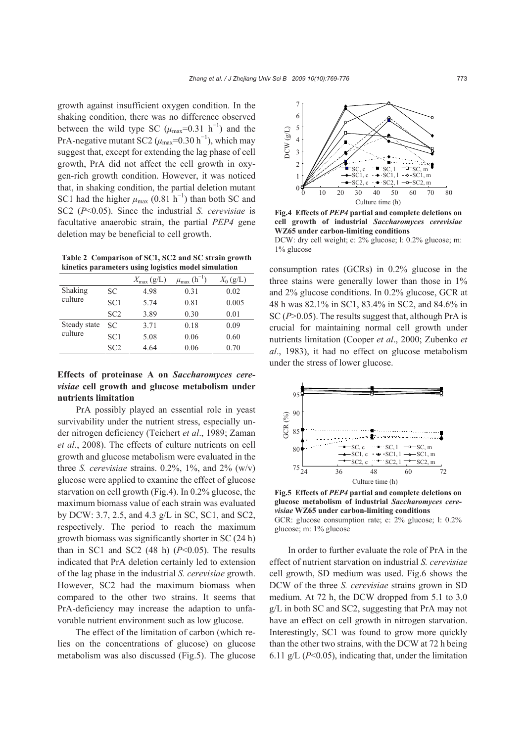growth against insufficient oxygen condition. In the shaking condition, there was no difference observed between the wild type SC  $(\mu_{\text{max}}=0.31 \text{ h}^{-1})$  and the PrA-negative mutant SC2 ( $\mu_{\text{max}}$ =0.30 h<sup>-1</sup>), which may suggest that, except for extending the lag phase of cell growth, PrA did not affect the cell growth in oxygen-rich growth condition. However, it was noticed that, in shaking condition, the partial deletion mutant SC1 had the higher  $\mu_{\text{max}}$  (0.81 h<sup>-1</sup>) than both SC and SC2 (*P*<0.05). Since the industrial *S. cerevisiae* is facultative anaerobic strain, the partial *PEP4* gene deletion may be beneficial to cell growth.

**Table 2 Comparison of SC1, SC2 and SC strain growth kinetics parameters using logistics model simulation** 

|                         |                 | $X_{\text{max}}\left(\frac{g}{L}\right)$ | $\mu_{\text{max}}$ (h <sup>-1</sup> ) | $X_0$ (g/L) |
|-------------------------|-----------------|------------------------------------------|---------------------------------------|-------------|
| Shaking<br>culture      | SC              | 4.98                                     | 0.31                                  | 0.02        |
|                         | SC <sub>1</sub> | 5.74                                     | 0.81                                  | 0.005       |
|                         | SC2             | 3.89                                     | 0.30                                  | 0.01        |
| Steady state<br>culture | SC              | 3.71                                     | 0.18                                  | 0.09        |
|                         | SC <sub>1</sub> | 5.08                                     | 0.06                                  | 0.60        |
|                         | SC2             | 4.64                                     | 0.06                                  | 0.70        |

# **Effects of proteinase A on** *Saccharomyces cerevisiae* **cell growth and glucose metabolism under nutrients limitation**

PrA possibly played an essential role in yeast survivability under the nutrient stress, especially under nitrogen deficiency (Teichert *et al*., 1989; Zaman *et al*., 2008). The effects of culture nutrients on cell growth and glucose metabolism were evaluated in the three *S. cerevisiae* strains.  $0.2\%$ ,  $1\%$ , and  $2\%$  (w/v) glucose were applied to examine the effect of glucose starvation on cell growth (Fig.4). In 0.2% glucose, the maximum biomass value of each strain was evaluated by DCW: 3.7, 2.5, and 4.3 g/L in SC, SC1, and SC2, respectively. The period to reach the maximum growth biomass was significantly shorter in SC (24 h) than in SC1 and SC2  $(48 \text{ h})$   $(P<0.05)$ . The results indicated that PrA deletion certainly led to extension of the lag phase in the industrial *S. cerevisiae* growth. However, SC2 had the maximum biomass when compared to the other two strains. It seems that PrA-deficiency may increase the adaption to unfavorable nutrient environment such as low glucose.

The effect of the limitation of carbon (which relies on the concentrations of glucose) on glucose metabolism was also discussed (Fig.5). The glucose



**Fig.4 Effects of** *PEP4* **partial and complete deletions on cell growth of industrial** *Saccharomyces cerevisiae*  **WZ65 under carbon-limiting conditions** 

DCW: dry cell weight; c: 2% glucose; l: 0.2% glucose; m: 1% glucose

consumption rates (GCRs) in 0.2% glucose in the three stains were generally lower than those in 1% and 2% glucose conditions. In 0.2% glucose, GCR at 48 h was 82.1% in SC1, 83.4% in SC2, and 84.6% in SC (*P*>0.05). The results suggest that, although PrA is crucial for maintaining normal cell growth under nutrients limitation (Cooper *et al*., 2000; Zubenko *et al*., 1983), it had no effect on glucose metabolism under the stress of lower glucose.



**Fig.5 Effects of** *PEP4* **partial and complete deletions on glucose metabolism of industrial** *Saccharomyces cerevisiae* **WZ65 under carbon-limiting conditions**  GCR: glucose consumption rate; c: 2% glucose; l: 0.2% glucose; m: 1% glucose

In order to further evaluate the role of PrA in the effect of nutrient starvation on industrial *S. cerevisiae* cell growth, SD medium was used. Fig.6 shows the DCW of the three *S. cerevisiae* strains grown in SD medium. At 72 h, the DCW dropped from 5.1 to 3.0 g/L in both SC and SC2, suggesting that PrA may not have an effect on cell growth in nitrogen starvation. Interestingly, SC1 was found to grow more quickly than the other two strains, with the DCW at 72 h being 6.11 g/L (*P*<0.05), indicating that, under the limitation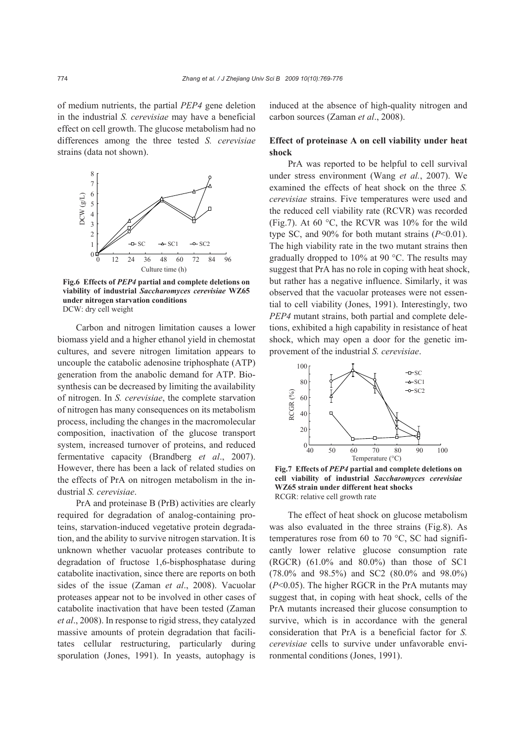of medium nutrients, the partial *PEP4* gene deletion in the industrial *S. cerevisiae* may have a beneficial effect on cell growth. The glucose metabolism had no differences among the three tested *S. cerevisiae*  strains (data not shown).



**Fig.6 Effects of** *PEP4* **partial and complete deletions on viability of industrial** *Saccharomyces cerevisiae* **WZ65 under nitrogen starvation conditions**  DCW: dry cell weight

Carbon and nitrogen limitation causes a lower biomass yield and a higher ethanol yield in chemostat cultures, and severe nitrogen limitation appears to uncouple the catabolic adenosine triphosphate (ATP) generation from the anabolic demand for ATP. Biosynthesis can be decreased by limiting the availability of nitrogen. In *S. cerevisiae*, the complete starvation of nitrogen has many consequences on its metabolism process, including the changes in the macromolecular composition, inactivation of the glucose transport system, increased turnover of proteins, and reduced fermentative capacity (Brandberg *et al*., 2007). However, there has been a lack of related studies on the effects of PrA on nitrogen metabolism in the industrial *S. cerevisiae*.

PrA and proteinase B (PrB) activities are clearly required for degradation of analog-containing proteins, starvation-induced vegetative protein degradation, and the ability to survive nitrogen starvation. It is unknown whether vacuolar proteases contribute to degradation of fructose 1,6-bisphosphatase during catabolite inactivation, since there are reports on both sides of the issue (Zaman *et al*., 2008). Vacuolar proteases appear not to be involved in other cases of catabolite inactivation that have been tested (Zaman *et al*., 2008). In response to rigid stress, they catalyzed massive amounts of protein degradation that facilitates cellular restructuring, particularly during sporulation (Jones, 1991). In yeasts, autophagy is

induced at the absence of high-quality nitrogen and carbon sources (Zaman *et al*., 2008).

# **Effect of proteinase A on cell viability under heat shock**

PrA was reported to be helpful to cell survival under stress environment (Wang *et al.*, 2007). We examined the effects of heat shock on the three *S. cerevisiae* strains. Five temperatures were used and the reduced cell viability rate (RCVR) was recorded (Fig.7). At 60 °C, the RCVR was 10% for the wild type SC, and 90% for both mutant strains  $(P<0.01)$ . The high viability rate in the two mutant strains then gradually dropped to 10% at 90 °C. The results may suggest that PrA has no role in coping with heat shock, but rather has a negative influence. Similarly, it was observed that the vacuolar proteases were not essential to cell viability (Jones, 1991). Interestingly, two *PEP4* mutant strains, both partial and complete deletions, exhibited a high capability in resistance of heat shock, which may open a door for the genetic improvement of the industrial *S. cerevisiae*.



**Fig.7 Effects of** *PEP4* **partial and complete deletions on cell viability of industrial** *Saccharomyces cerevisiae*  **WZ65 strain under different heat shocks**  RCGR: relative cell growth rate

The effect of heat shock on glucose metabolism was also evaluated in the three strains (Fig.8). As temperatures rose from 60 to 70 °C, SC had significantly lower relative glucose consumption rate (RGCR) (61.0% and 80.0%) than those of SC1 (78.0% and 98.5%) and SC2 (80.0% and 98.0%) (*P*<0.05). The higher RGCR in the PrA mutants may suggest that, in coping with heat shock, cells of the PrA mutants increased their glucose consumption to survive, which is in accordance with the general consideration that PrA is a beneficial factor for *S. cerevisiae* cells to survive under unfavorable environmental conditions (Jones, 1991).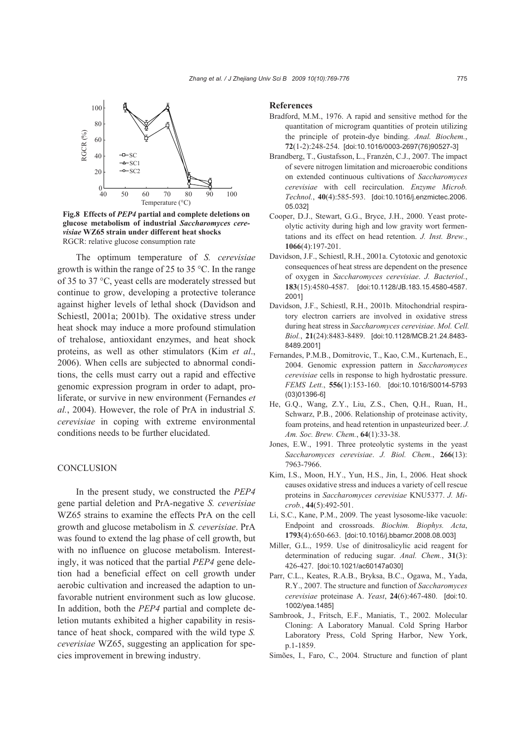

**Fig.8 Effects of** *PEP4* **partial and complete deletions on glucose metabolism of industrial** *Saccharomyces cerevisiae* **WZ65 strain under different heat shocks**  RGCR: relative glucose consumption rate

The optimum temperature of *S. cerevisiae* growth is within the range of 25 to 35 °C. In the range of 35 to 37 °C, yeast cells are moderately stressed but continue to grow, developing a protective tolerance against higher levels of lethal shock (Davidson and Schiestl, 2001a; 2001b). The oxidative stress under heat shock may induce a more profound stimulation of trehalose, antioxidant enzymes, and heat shock proteins, as well as other stimulators (Kim *et al*., 2006). When cells are subjected to abnormal conditions, the cells must carry out a rapid and effective genomic expression program in order to adapt, proliferate, or survive in new environment (Fernandes *et al.*, 2004). However, the role of PrA in industrial *S*. *cerevisiae* in coping with extreme environmental conditions needs to be further elucidated.

## **CONCLUSION**

In the present study, we constructed the *PEP4*  gene partial deletion and PrA-negative *S. ceverisiae* WZ65 strains to examine the effects PrA on the cell growth and glucose metabolism in *S. ceverisiae*. PrA was found to extend the lag phase of cell growth, but with no influence on glucose metabolism. Interestingly, it was noticed that the partial *PEP4* gene deletion had a beneficial effect on cell growth under aerobic cultivation and increased the adaption to unfavorable nutrient environment such as low glucose. In addition, both the *PEP4* partial and complete deletion mutants exhibited a higher capability in resistance of heat shock, compared with the wild type *S. ceverisiae* WZ65, suggesting an application for species improvement in brewing industry.

#### **References**

- Bradford, M.M., 1976. A rapid and sensitive method for the quantitation of microgram quantities of protein utilizing the principle of protein-dye binding. *Anal. Biochem.*, **72**(1-2):248-254. [doi:10.1016/0003-2697(76)90527-3]
- Brandberg, T., Gustafsson, L., Franzén, C.J., 2007. The impact of severe nitrogen limitation and microaerobic conditions on extended continuous cultivations of *Saccharomyces cerevisiae* with cell recirculation. *Enzyme Microb. Technol.*, **40**(4):585-593. [doi:10.1016/j.enzmictec.2006. 05.032]
- Cooper, D.J., Stewart, G.G., Bryce, J.H., 2000. Yeast proteolytic activity during high and low gravity wort fermentations and its effect on head retention. *J. Inst. Brew.*, **1066**(4):197-201.
- Davidson, J.F., Schiestl, R.H., 2001a. Cytotoxic and genotoxic consequences of heat stress are dependent on the presence of oxygen in *Saccharomyces cerevisiae*. *J. Bacteriol.*, **183**(15):4580-4587. [doi:10.1128/JB.183.15.4580-4587. 2001]
- Davidson, J.F., Schiestl, R.H., 2001b. Mitochondrial respiratory electron carriers are involved in oxidative stress during heat stress in *Saccharomyces cerevisiae*. *Mol. Cell. Biol.*, **21**(24):8483-8489. [doi:10.1128/MCB.21.24.8483- 8489.2001]
- Fernandes, P.M.B., Domitrovic, T., Kao, C.M., Kurtenach, E., 2004. Genomic expression pattern in *Saccharomyces cerevisiae* cells in response to high hydrostatic pressure. *FEMS Lett.*, **556**(1):153-160. [doi:10.1016/S0014-5793 (03)01396-6]
- He, G.Q., Wang, Z.Y., Liu, Z.S., Chen, Q.H., Ruan, H., Schwarz, P.B., 2006. Relationship of proteinase activity, foam proteins, and head retention in unpasteurized beer. *J. Am. Soc. Brew. Chem.*, **64**(1):33-38.
- Jones, E.W., 1991. Three proteolytic systems in the yeast *Saccharomyces cerevisiae*. *J. Biol. Chem.*, **266**(13): 7963-7966.
- Kim, I.S., Moon, H.Y., Yun, H.S., Jin, I., 2006. Heat shock causes oxidative stress and induces a variety of cell rescue proteins in *Saccharomyces cerevisiae* KNU5377. *J. Microb.*, **44**(5):492-501.
- Li, S.C., Kane, P.M., 2009. The yeast lysosome-like vacuole: Endpoint and crossroads. *Biochim. Biophys. Acta*, **1793**(4):650-663. [doi:10.1016/j.bbamcr.2008.08.003]
- Miller, G.L., 1959. Use of dinitrosalicylic acid reagent for determination of reducing sugar. *Anal. Chem.*, **31**(3): 426-427. [doi:10.1021/ac60147a030]
- Parr, C.L., Keates, R.A.B., Bryksa, B.C., Ogawa, M., Yada, R.Y., 2007. The structure and function of *Saccharomyces cerevisiae* proteinase A. *Yeast*, **24**(6):467-480. [doi:10. 1002/yea.1485]
- Sambrook, J., Fritsch, E.F., Maniatis, T., 2002. Molecular Cloning: A Laboratory Manual. Cold Spring Harbor Laboratory Press, Cold Spring Harbor, New York, p.1-1859.
- Simões, I., Faro, C., 2004. Structure and function of plant